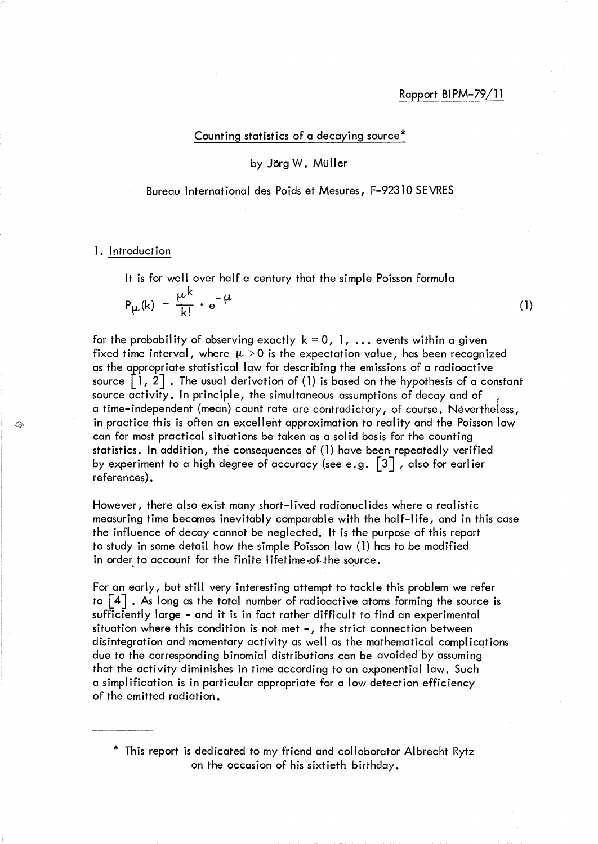# Rapport BI PM-79/11

Counting statistics of a decaying source\*

## by Jorg W. Muller

Bureau International des Poids et Mesures, F-9231O SEVRES

#### 1. Introduction

S.

It is for well over half a century that the simple Poisson formula

$$
P_{\mu}(k) = \frac{\mu k}{k!} \cdot e^{-\mu}
$$
 (1)

for the probability of observing exactly  $k = 0, 1, ...$  events within a given fixed time interval, where  $\mu > 0$  is the expectation value, has been recognized as the appropriate statistical law for describing the emissions of a radioactive source  $\lfloor 1, 2 \rfloor$  . The usual derivation of (1) is based on the hypothesis of a constant source activity. In principle, the simultaneous assumptions of decay and of a time-independent (mean) count rate are contradictory, of course. Nevertheless, in practice this is often an excellent approximation to reality and the Poisson law can for most practical situations be taken as a sol id basis for the counting statistics. In addition, the consequences of (1) have been repeatedly verified by experiment to a high degree of accuracy (see e.g.  $\lceil 3 \rceil$  , also for earlier references) .

However, there also exist many short-I ived radionucl ides where a real istic measuring time becomes inevitably comparable with the half-life, and in this case the influence of decay cannot be neglected. It is the purpose of this report to study in some detail how the simple Poisson law (1) has to be modified in order to account for the finite lifetime, of the source.

For an early, but still very interesting attempt to tackle this problem we refer to  $\lceil 4 \rceil$  . As long as the total number of radioactive atoms forming the source is sufficiently large - and it is in fact rather difficult to find an experimental situation where this condition is not met  $-$ , the strict connection between disintegration and momentary activity as well as the mathematical compl ications due to the corresponding binomial distributions can be avoided by assuming that the activity diminishes in time according to an exponential law. Such a simpl ification is in particular appropriate for a low detection efficiency of the emitted radiation.

\* This report is dedicated to my friend and collaborator Albrecht Rytz on the occasion of his sixtieth birthday.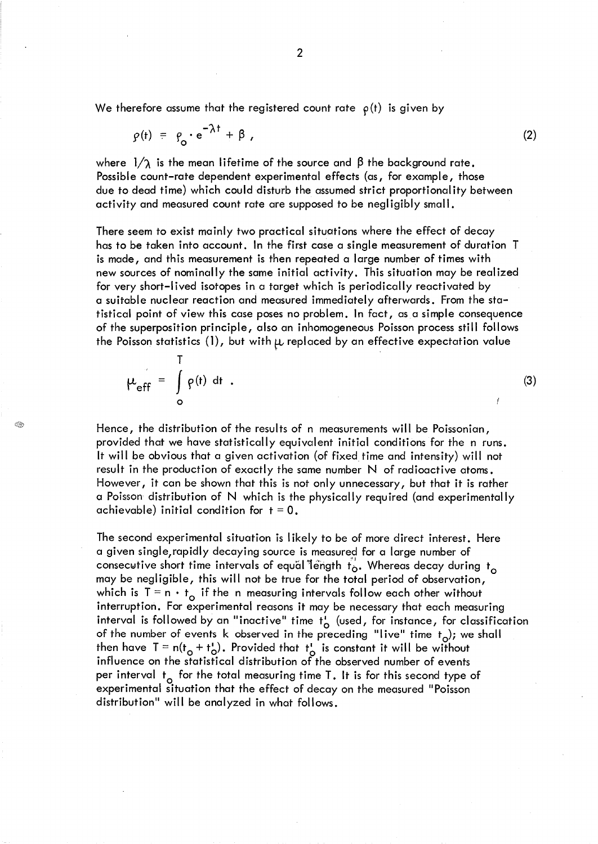We therefore assume that the registered count rate  $\rho(t)$  is given by

T

G.

$$
\varphi(t) = \varphi_o \cdot e^{-\lambda t} + \beta \tag{2}
$$

where  $1/\gamma$  is the mean lifetime of the source and  $\beta$  the background rate. Possible count-rate dependent experimental effects (as, for example, those due to dead time) which could disturb the assumed strict proportional ity between activity and measured count rate are supposed to be negligibly small.

There seem to exist mainly two practical situations where the effect of decay has to be taken into account. In the first case a single measurement of duration T is made, and this measurement is then repeated a large number of times with new sources of nominally the same initial activity. This situation may be real ized for very short-lived isotopes in a target which is periodically reactivated by a suitable nuclear reaction and measured immediately afterwards. From the statistical point of view this case poses no problem. In fact, as a simple consequence of the superposition principle, also an inhomogeneous Poisson process still follows the Poisson statistics (1), but with  $\mu$  replaced by an effective expectation value

$$
\mu_{eff} = \int_{0}^{1} \rho(t) dt
$$
 (3)

Hence, the distribution of the results of n measurements will be Poissonian, provided that we have statistically equivalent initial conditions for the n runs. It will be obvious that a given activation (of fixed time and intensity) will not result in the production of exactly the same number N of radioactive atoms. However, it can be shown that this is not only unnecessary, but that it is rather a Poisson distribution of N which is the physically required (and experimentally achievable) initial condition for  $t = 0$ .

The second experimental situation is I ikely to be of more direct interest. Here a given single, rapidly decaying source is measured for a large number of consecutive short time intervals of equal length  $t_o$ . Whereas decay during  $t_o$ may be negligible, this will not be true for the total period of observation, which is  $T = n \cdot t_{o}$  if the n measuring intervals follow each other without interruption. For experimental reasons it may be necessary that each measuring interval is followed by an "inactive" time  $t^i$  (used, for instance, for classification of the number of events k observed in the preceding "live" time  $t_o$ ); we shall then have  $T = n(t_0 + t_0)$ . Provided that  $t_0^1$  is constant it will be without influence on the statistical distribution of the observed number of events per interval  $t_0$  for the total measuring time T. It is for this second type of experimental situation that the effect of decay on the measured "Poisson distribution" will be analyzed in what follows.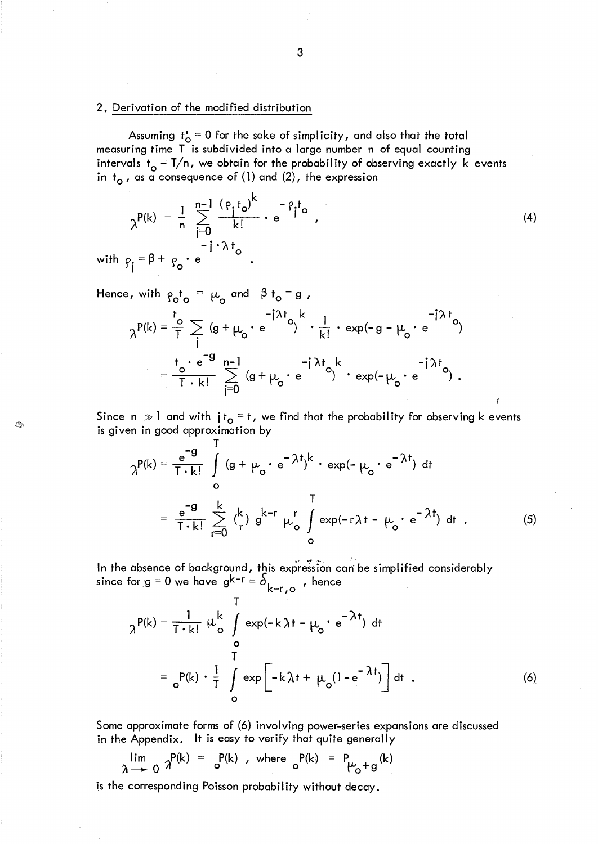## 2. Derivation of the modified distribution

Assuming  $t_o^1 = 0$  for the sake of simplicity, and also that the total measuring time T is subdivided into a large number n of equal counting intervals  $t_o = T/n$ , we obtain for the probability of observing exactly  $k$  events in  $t_{o}$  , as a consequence of (1) and (2), the expression

$$
\gamma^{P(k)} = \frac{1}{n} \sum_{j=0}^{n-1} \frac{(\rho_j t_o)^k}{k!} \cdot e^{-\rho_j t_o}
$$
\nwith  $\rho_j = \beta + \rho_o \cdot e^{-\beta}$ . (4)

Hence, with  $\rho_o t_o = \mu_o$  and  $\beta t_o = g$ ,

G.

$$
\lambda^{P(k)} = \frac{1}{T} \sum_{i=0}^{T} (g + \mu_o \cdot e^{-i\lambda t} \cdot \frac{1}{k!} \cdot \exp(-g - \mu_o \cdot e^{-i\lambda t} \cdot \frac{1}{k!})
$$

$$
= \frac{1}{T} \sum_{i=0}^{T} (g + \mu_o \cdot e^{-i\lambda t} \cdot e^{-i\lambda t} \cdot \exp(-\mu_o \cdot e^{-i\lambda t} \cdot \frac{1}{k!})
$$

Since n  $\gg$  1 and with  $jt_0 = t$ , we find that the probability for observing k events is given in good approximation by

$$
\gamma^{P(k)} = \frac{e^{-g}}{T \cdot k!} \int_{0}^{T} (g + \mu_{o} \cdot e^{-\lambda t})^{k} \cdot \exp(-\mu_{o} \cdot e^{-\lambda t}) dt
$$
  

$$
= \frac{e^{-g}}{T \cdot k!} \sum_{r=0}^{k} {k \choose r} g^{k-r} \mu_{o}^{r} \int_{0}^{T} \exp(-r\lambda t - \mu_{o} \cdot e^{-\lambda t}) dt . \qquad (5)
$$

In the absence of background, this expression can be simplified considerably since for  $g = 0$  we have  $g^{k-r} = \delta_{k-r, o}$  , hence

$$
\gamma^{P(k)} = \frac{1}{T \cdot k!} \mu_{o}^{k} \int_{O}^{T} \exp(-k \lambda t - \mu_{o} \cdot e^{-\lambda t}) dt
$$
  

$$
= \frac{1}{C} P(k) \cdot \frac{1}{T} \int_{O}^{T} \exp[-k \lambda t + \mu_{o}(1 - e^{-\lambda t})] dt .
$$
 (6)

Some approximate forms of (6) involving power-series expansions are discussed in the Appendix. It is easy to verify that quite generally

 $\lim_{\lambda \to 0} \frac{p(k)}{n} = \frac{p(k)}{0}$ , where  $\lim_{\lambda \to 0} \frac{p(k)}{k} = \lim_{k \to \infty} \frac{p(k)}{k}$ 

is the corresponding Poisson probability without decay.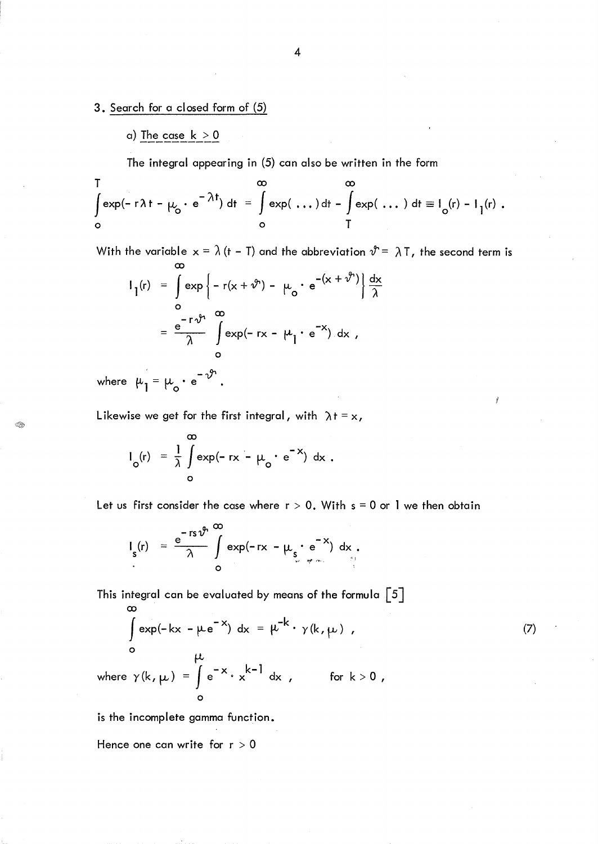3. Search for a closed form of (5)

a) The case  $k > 0$ 

The integral appearing in (5) can also be written in the form

$$
\int_{0}^{T} \exp(-r\lambda t - \mu_{0} \cdot e^{-\lambda t}) dt = \int_{0}^{\infty} \exp(\ldots) dt - \int_{0}^{\infty} \exp(\ldots) dt = I_{0}(r) - I_{1}(r).
$$

With the variable  $x = \lambda$  (t - T) and the abbreviation  $\vartheta^* = \lambda T$ , the second term is

$$
I_1(r) = \int_{0}^{\infty} exp\left\{-r(x + \vartheta^2) - \mu_0 \cdot e^{-(x + \vartheta^2)}\right\} \frac{dx}{\lambda}
$$

$$
= \frac{e^{-r\vartheta^2}}{\lambda} \int_{0}^{\infty} exp(-rx - \mu_1 \cdot e^{-x}) dx,
$$

 $-\gamma$ <sup>+</sup> where  $\mu_{1} = \mu_{0} \cdot e^{-\mathcal{V}}$ .

Q)

Likewise we get for the first integral, with  $\lambda t = x$ ,

$$
I_o(r) = \frac{1}{\lambda} \int_{0}^{\infty} \exp(-rx - \mu_o \cdot e^{-x}) dx.
$$

Let us first consider the case where  $r > 0$ . With  $s = 0$  or 1 we then obtain

(7)

$$
\mathsf{I}_{\mathsf{s}}(\mathsf{r}) = \frac{\mathsf{e}^{-\mathsf{r}\mathsf{s}\,\boldsymbol{\vartheta}^{\mathsf{n}}}}{\lambda} \int\limits_{\mathsf{Q}} \exp(-\mathsf{r}\mathsf{x} - \mu_{\mathsf{s}} \cdot \mathsf{e}^{-\mathsf{x}}) \,\,\mathrm{d}\mathsf{x}.
$$

This integral can be evaluated by means of the formula 
$$
\begin{bmatrix} 5 \end{bmatrix}
$$

$$
\begin{aligned}\n\text{exp}(-kx - \mu e^{-x}) \, dx &= \mu^{-k} \cdot \gamma(k, \mu) \\
0 & \mu\n\end{aligned}
$$
\nwhere  $\gamma(k, \mu) = \int_{0}^{\mu} e^{-x} \cdot x^{k-1} \, dx$ , for  $k > 0$ ,

is the incomplete gamma function.

Hence one can write for  $r > 0$ 

4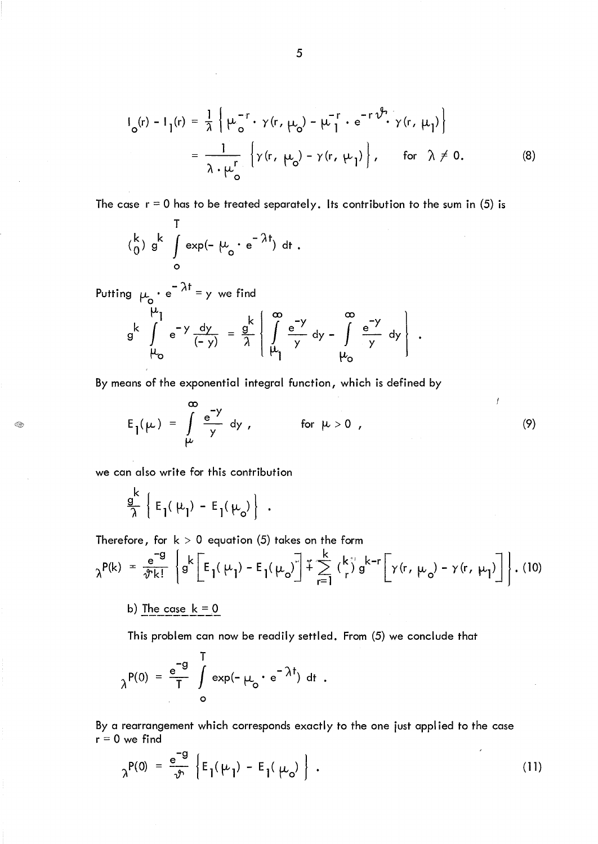$$
I_o(r) - I_1(r) = \frac{1}{\lambda} \left\{ \mu_o^{-r} \cdot \gamma(r, \mu_o) - \mu_1^{-r} \cdot e^{-r \hat{\mathcal{V}} \cdot \gamma(r, \mu_1)} \right\}
$$
  
= 
$$
\frac{1}{\lambda \cdot \mu_o^r} \left\{ \gamma(r, \mu_o) - \gamma(r, \mu_1) \right\}, \quad \text{for } \lambda \neq 0.
$$
 (8)

The case  $r = 0$  has to be treated separately. Its contribution to the sum in (5) is

$$
\begin{pmatrix} k \\ 0 \end{pmatrix} g^k \int\limits_0^1 \exp(-\mu_0 \cdot e^{-\lambda t}) dt.
$$

 $\mathbf{r}$ 

Putting  $\mu_{\text{a}} \cdot e^{-\lambda t} = y$  we find  $g^k$   $\int_{\mu_0}^{\mu_1} e^{-y} \frac{dy}{(-y)} = \frac{g^k}{\lambda} \begin{bmatrix} 0 \\ 0 \\ \mu_0 \end{bmatrix}$  $\frac{g}{\pi}$   $\left\{ \int_{0}^{\infty} \frac{e^{-y}}{y} dy - \int_{0}^{\infty} \frac{e^{-y}}{y} dy \right\}$ . *1* | <u>l</u><sub>L</sub> y y y 1  $\mu_{\circ}$ 

By means of the exponential integral function, which is defined by

$$
E_1(\mu) = \int_{\mu}^{\infty} \frac{e^{-y}}{y} dy, \qquad \text{for } \mu > 0,
$$
 (9)

we can also write for this contribution

❀

$$
\frac{g^k}{\lambda} \left\{ E_1(\mu_1) - E_1(\mu_0) \right\}
$$

Therefore, for k > 0 equation (5) takes on the form  
\n
$$
\lambda^{P(k)} = \frac{e^{-g}}{\sqrt[n]{k!}} \left\{ g^k \left[ E_1(\mu_1) - E_1(\mu_0) \right] + \sum_{r=1}^k {k \choose r} g^{k-r} \left[ \gamma(r, \mu_0) - \gamma(r, \mu_1) \right] \right\}.
$$
 (10)

b) The case  $k = 0$ 

This problem can now be readily settled. From (5) we conclude that

$$
\lambda^{P(0)} = \frac{e^{-g}}{T} \int\limits_{0}^{T} \exp(-\mu_0 \cdot e^{-\lambda t}) dt.
$$

By a rearrangement which corresponds exactly to the one just applied to the case  $r = 0$  we find

$$
\gamma^{P(0)} = \frac{e^{-g}}{v} \left\{ E_1(\mu_1) - E_1(\mu_0) \right\} \tag{11}
$$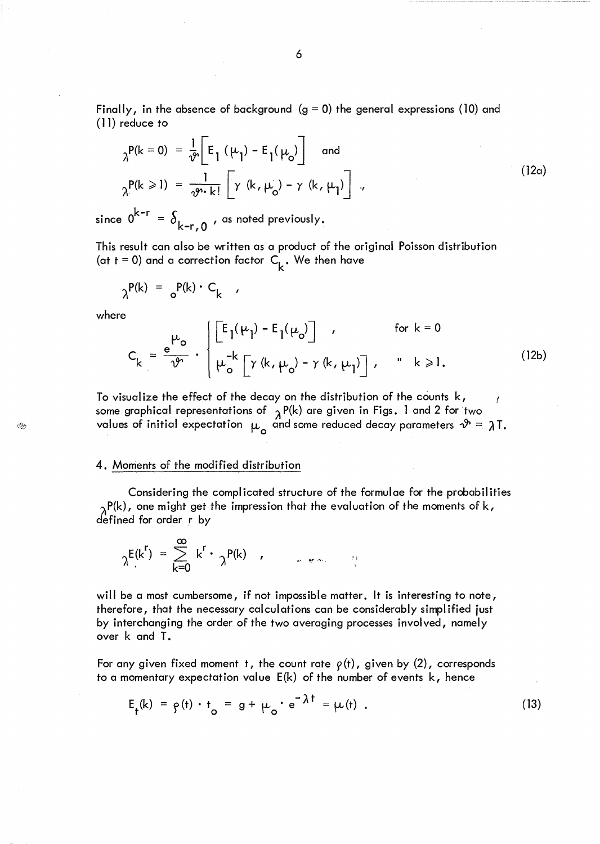Finally, in the absence of background  $(g = 0)$  the general expressions (10) and (11) reduce to

$$
\gamma^{P(k=0)} = \frac{1}{\vartheta} \left[ E_{1} (\mu_{1}) - E_{1} (\mu_{0}) \right] \text{ and}
$$
\n
$$
\gamma^{P(k \ge 1)} = \frac{1}{\vartheta^{n} k!} \left[ \gamma (k, \mu_{0}) - \gamma (k, \mu_{1}) \right],
$$
\n(12a)

since  $0^{k-r} = \delta_{k-r,0}$ , as noted previously.

This result can also be written as a product of the original Poisson distribution (at t = 0) and a correction factor  $C_k$ . We then have

$$
\lambda^{P(k)} = \delta^{P(k) \cdot C_k},
$$

where

 $\bigcircled{H}$ 

$$
C_{k} = \frac{e^{\mu_{o}}}{\nu^{o}} \cdot \begin{cases} \left[ E_{1}(\mu_{1}) - E_{1}(\mu_{o}) \right] & , & \text{for } k = 0 \\ \mu_{o}^{-k} \left[ \gamma(k, \mu_{o}) - \gamma(k, \mu_{1}) \right], & \text{if } k \ge 1. \end{cases}
$$
(12b)

To visualize the effect of the decay on the distribution of the counts k, some graphical representations of  $\chi P(k)$  are given in Figs. 1 and 2 for two values of initial expectation  $\mu_{\mathsf{o}}$  and some reduced decay parameters  $\vartheta$  =  $\lambda$ T.

#### 4. Moments of the modified distribution

Considering the complicated structure of the formulae for the probabilities  $\lambda_\lambda$ P(k), one might get the impression that the evaluation of the moments of k, defined for order r by

$$
\gamma E(k^{r}) = \sum_{k=0}^{\infty} k^{r} \cdot \gamma^{P(k)}
$$

will be a most cumbersome, if not impossible matter. It is interesting to note, therefore, that the necessary calculations can be considerably simplified just by interchanging the order of the two averaging processes involved, namely over k and T.

For any given fixed moment t, the count rate  $\rho(t)$ , given by (2), corresponds to a momentary expectation value E(k) of the number of events k, hence

$$
E_{\dagger}(k) = \rho(t) \cdot t_{o} = g + \mu_{o} \cdot e^{-\lambda t} = \mu(t) . \qquad (13)
$$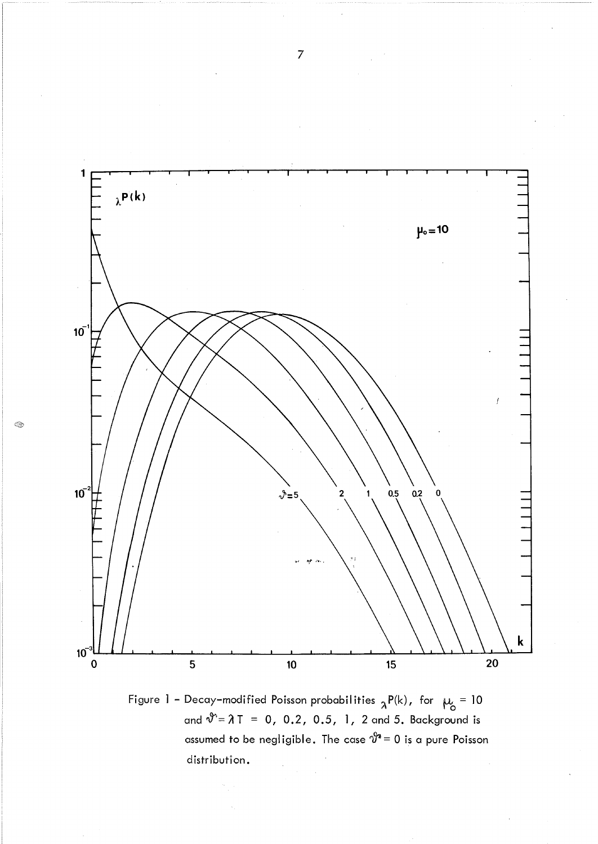

Figure 1 - Decay-modified Poisson probabilities  ${}_{\lambda}P(k)$ , for  $\mu_{o} = 10$ and  $\vartheta^* = \lambda T = 0$ , 0.2, 0.5, 1, 2 and 5. Background is assumed to be negligible. The case  $\vartheta^{\scriptscriptstyle\!}{}^{\scriptscriptstyle\!} = 0$  is a pure Poisson distribution.

ିୟ

7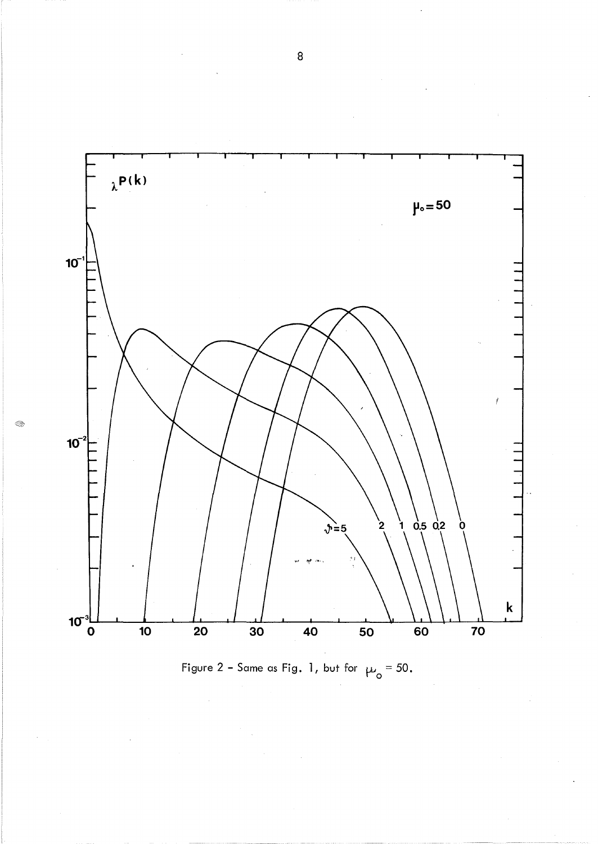

E.



8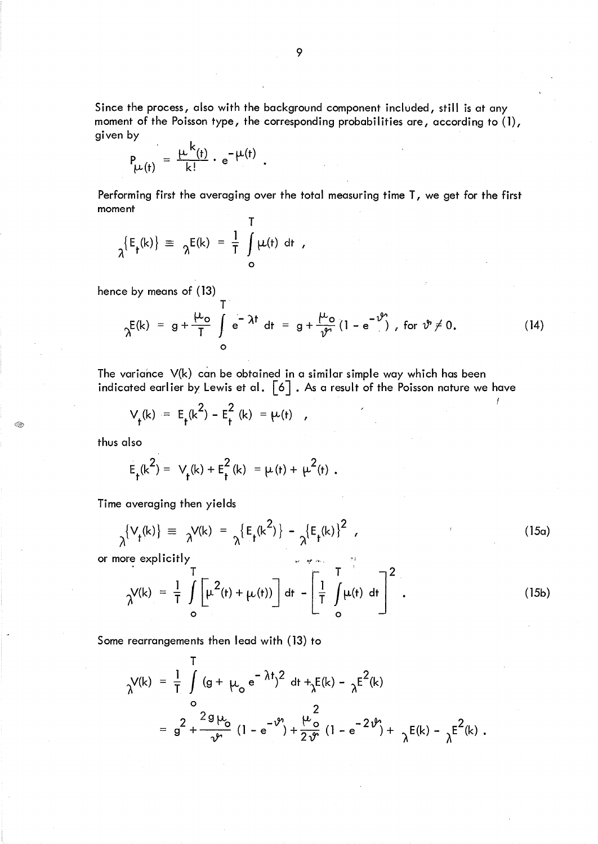Since the process, also with the background component included, still is at any moment of the Poisson type, the corresponding probabilities are, according to (1), given by

$$
P_{\mu(t)} = \frac{\mu^{k}(t)}{k!} \cdot e^{-\mu(t)}.
$$

Performing first the averaging over the total measuring time T, we get for the first moment

$$
\lambda^{\{E_{\mathbf{f}}(k)\}} \equiv \lambda^{E(k)} = \frac{1}{T} \int_{0}^{T} \mu(t) dt
$$

hence by means of (13)

$$
\gamma^{E(k)} = g + \frac{\mu_o}{T} \int_{0}^{T} e^{-\lambda t} dt = g + \frac{\mu_o}{\vartheta} (1 - e^{-\vartheta}), \text{ for } \vartheta \neq 0.
$$
 (14)

f

The variance V(k) can be obtained in a similar simple way which has been indicated earlier by Lewis et al.  $[6]$ . As a result of the Poisson nature we have

$$
V_{t}(k) = E_{t}(k^{2}) - E_{t}^{2}(k) = \mu(t)
$$

thus also

$$
E_t(k^2) = V_t(k) + E_t^2(k) = \mu(t) + \mu^2(t)
$$
.

Time averaging then yields

$$
\lambda^{\{V_{\mathbf{f}}(k)\}} \equiv \lambda^{V(k)} = \lambda^{\{E_{\mathbf{f}}(k^2)\}} - \lambda^{\{E_{\mathbf{f}}(k)\}}^2 \tag{15a}
$$

or more explicitly

$$
\gamma(k) = \frac{1}{T} \int_{0}^{T} \left[ \mu^{2}(t) + \mu(t) \right] dt - \left[ \frac{1}{T} \int_{0}^{T} \mu(t) dt \right]^{2}.
$$
 (15b)

Some rearrangements then lead with (13) to

$$
\gamma^{V(k)} = \frac{1}{T} \int_{0}^{T} (g + \mu_{0} e^{-\lambda t})^{2} dt + \gamma E(k) - \gamma E^{2}(k)
$$
  
=  $g^{2} + \frac{2g \mu_{0}}{\nu_{0}} (1 - e^{-\nu^{0}}) + \frac{\mu_{0}^{2}}{2 \nu^{0}} (1 - e^{-2\nu^{0}}) + \gamma E(k) - \gamma E^{2}(k)$ .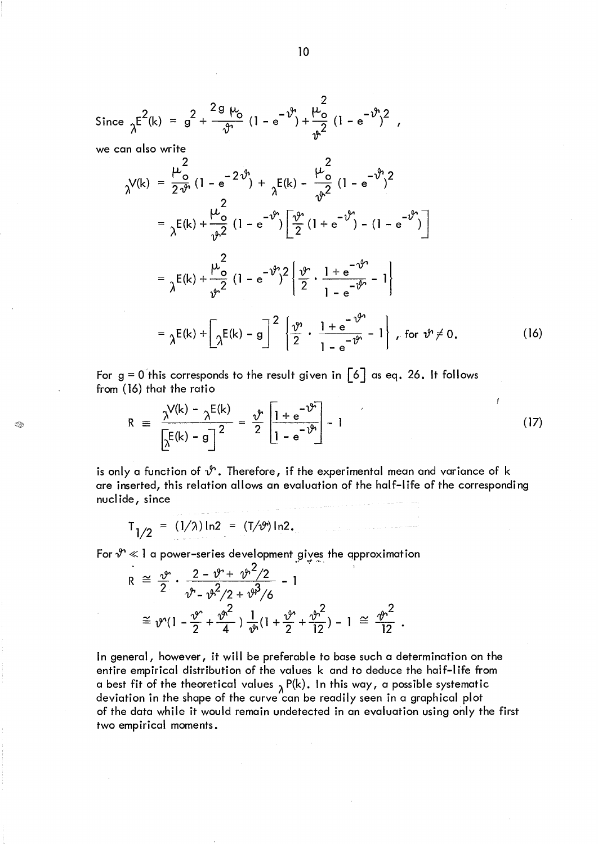Since 
$$
\lambda^{E^2(k)} = g^2 + \frac{2g \mu_0}{\vartheta} (1 - e^{-\vartheta}) + \frac{\mu_0^2}{\vartheta^2} (1 - e^{-\vartheta})^2
$$
,

we can also write

Q)

$$
\gamma V(k) = \frac{\mu_o^2}{2 \vartheta} (1 - e^{-2 \vartheta}) + \frac{\mu_o^2}{2} (1 - e^{-\vartheta})^2
$$
  
\n
$$
= \frac{\mu_o^2}{2 \vartheta} (1 - e^{-2 \vartheta}) + \frac{\mu_o^2}{2} (1 - e^{-\vartheta})^2
$$
  
\n
$$
= \frac{\mu_o^2}{2} (1 - e^{-\vartheta}) \left[ \frac{\vartheta}{2} (1 + e^{-\vartheta}) - (1 - e^{-\vartheta})^2 \right]
$$
  
\n
$$
= \frac{\mu_o^2}{2} (1 - e^{-\vartheta})^2 \left\{ \frac{\vartheta}{2} \cdot \frac{1 + e^{-\vartheta}}{1 - e^{-\vartheta}} - 1 \right\}
$$
  
\n
$$
= \frac{\mu_o^2}{2} (1 - e^{-\vartheta})^2 \left\{ \frac{\vartheta}{2} \cdot \frac{1 + e^{-\vartheta}}{1 - e^{-\vartheta}} - 1 \right\}, \text{ for } \vartheta \neq 0.
$$
 (16)

For  $g = 0$  this corresponds to the result given in  $\lceil 6 \rceil$  as eq. 26. It follows from (16) that the ratio

16) that the ratio  
\n
$$
R = \frac{\gamma^{V(k)} - \gamma^{E(k)}}{\left[\gamma^{E(k)} - g\right]^2} = \frac{\gamma^{E(k)}}{2} \left[\frac{1 + e^{-\gamma^{E(k)}}}{1 - e^{-\gamma^{E(k)}}}\right] - 1
$$
\n(17)

is only a function of  $\mathcal{Y}$ . Therefore, if the experimental mean and variance of k are inserted, this relation allows an evaluation of the half-life of the corresponding nucl ide, since

$$
T_{1/2} = (1/\lambda) \ln 2 = (T/\vartheta) \ln 2.
$$

For  $\mathcal{Y} \ll 1$  a power-series development gives the approximation

$$
R \cong \frac{\vartheta}{2} \cdot \frac{2 - \vartheta^2 + \vartheta^2 / 2}{\vartheta^2 - \vartheta^2 / 2 + \vartheta^3 / 6} - 1
$$
  

$$
\cong \vartheta^2 (1 - \frac{\vartheta^2}{2} + \frac{\vartheta^2}{4}) \frac{1}{\vartheta^2} (1 + \frac{\vartheta^2}{2} + \frac{\vartheta^2}{12}) - 1 \cong \frac{\vartheta^2}{12}.
$$

In general, however, it will be preferable to base such a determination on the entire empirical distribution of the values k and to deduce the half-I ife from a best fit of the theoretical values  $\lambda$  P(k). In this way, a possible systematic deviation in the shape of the curve can be readily seen in a graphical plot of the data while it would remain undetected in an evaluation using only the first two empirical moments.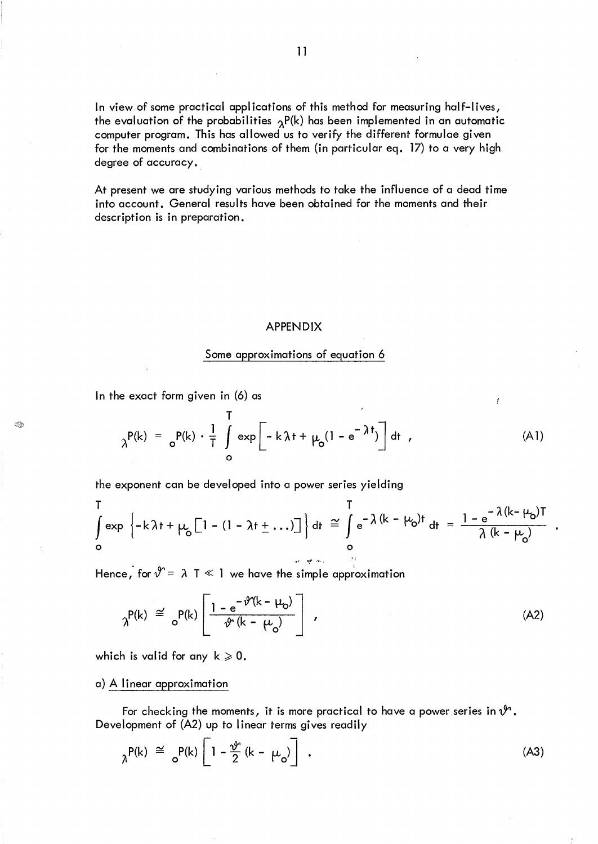In view of some practical applications of this method for measuring half-lives, the evaluation of the probabilities  $\gamma P(k)$  has been implemented in an automatic computer program. This has allowed us to verify the different formulae given for the moments and combinations of them (in particular eq. 17) to a very high degree of accuracy.

At present we are studying various methods to take the influence of a dead time into account. General results have been obtained for the moments and their description is in preparation.

#### APPENDIX

### Some approximations of equation 6

In the exact form given in (6) as

Â.

$$
\lambda^{P(k)} = \sum_{o}^{P(k)} \cdot \frac{1}{T} \int_{o}^{T} \exp\left[-k\lambda t + \mu_{o}(1 - e^{-\lambda t})\right] dt , \qquad (A1)
$$

Ĭ

the exponent can be developed into a power series yielding

$$
\int_{0}^{T} \exp\left\{-k\lambda t + \mu_{0} \left[1 - (1 - \lambda t + \dots)\right]\right\} dt \approx \int_{0}^{T} e^{-\lambda (k - \mu_{0})t} dt = \frac{1 - e^{-\lambda (k - \mu_{0})T}}{\lambda (k - \mu_{0})}
$$

Hence, for  $\mathcal{Y} = \lambda \top \ll 1$  we have the simple approximation

$$
\gamma^{P(k)} \stackrel{\cong}{=} \sigma^{P(k)} \left[ \frac{1 - e^{-\vartheta^{2}(k - \mu_{0})}}{\vartheta^{2}(k - \mu_{0})} \right], \qquad (A2)
$$

which is valid for any  $k \ge 0$ .

a) A linear approximation

For checking the moments, it is more practical to have a power series in  $\mathcal{Y}$ . Development of (A2) up to linear terms gives readily

$$
{}_{\lambda}P(k) \cong {}_{o}P(k) \left[1 - \frac{\vartheta}{2} (k - \mu_{o})\right] \tag{A3}
$$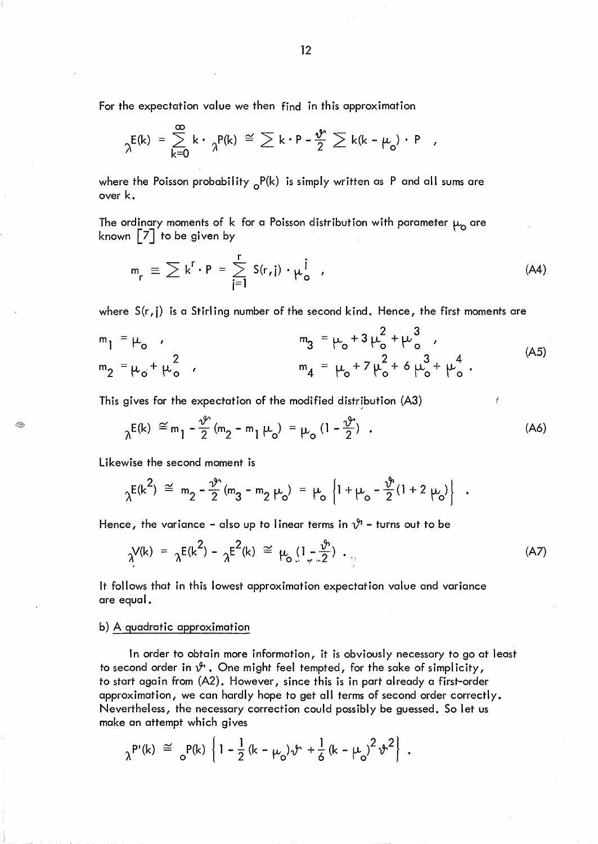For the expectation value we then find in this approximation

$$
\lambda^{E(k)} = \sum_{k=0}^{\infty} k \cdot \frac{1}{\lambda^{P(k)}} \cong \sum k \cdot P - \frac{\psi}{2} \sum k(k - \mu_{o}) \cdot P
$$

where the Poisson probability  ${}_{o}P(k)$  is simply written as P and all sums are over k.

The ordinary moments of k for a Poisson distribution with parameter  $\mu$  are known [7] to be given by

$$
m_r \equiv \sum k^r \cdot P = \sum_{j=1}^r S(r, j) \cdot \mu_o^j \quad , \tag{A4}
$$

where  $S(r, j)$  is a Stirling number of the second kind. Hence, the first moments are

$$
m_1 = \mu_0 ,
$$
  
\n
$$
m_2 = \mu_0 + \mu_0^2 ,
$$
  
\n
$$
m_3 = \mu_0 + 3 \mu_0^2 + \mu_0^3 ,
$$
  
\n
$$
m_4 = \mu_0 + 7 \mu_0^2 + 6 \mu_0^3 + \mu_0^4 .
$$
 (A5)

This gives for the expectation of the modified distribution (A3)

$$
\lambda^{E(k)} \stackrel{\simeq}{=} m_1 - \frac{\vartheta^{\circ}}{2} (m_2 - m_1 \mu_0) = \mu_0 (1 - \frac{\vartheta^{\circ}}{2}) \quad . \tag{A6}
$$

Likewise the second moment is

Q

$$
\lambda^{E(k^2)} \stackrel{\simeq}{=} m_2 - \frac{\nu}{2} (m_3 - m_2 \mu_0) = \mu_0 \left\{ 1 + \mu_0 - \frac{\nu}{2} (1 + 2 \mu_0) \right\} .
$$

Hence, the variance - also up to linear terms in  $\mathcal{V}$  - turns out to be

$$
\gamma^{V(k)} = \gamma^{E(k^2)} - \gamma^{E^2(k)} \cong \mu_0(1 - \frac{\vartheta}{2}) \cdot \mu_0
$$
 (A7)

It follows that in this lowest approximation expectation value and variance are equal.

# b) A quadratic approximation

In order to obtain more information, it is obviously necessary to go at least to second order in  $\mathcal{Y}$ . One might feel tempted, for the sake of simplicity, to start again from (A2). However, since this is in part already a first-order approximation, we can hardly hope to get all terms of second order correctly. Nevertheless, the necessary correction could possibly be guessed. So let us make an attempt which gives

$$
\lambda^{P'}(k) \approx \frac{1}{2} \left[1 - \frac{1}{2} (k - \mu_0) \nu + \frac{1}{6} (k - \mu_0)^2 \nu^2 \right].
$$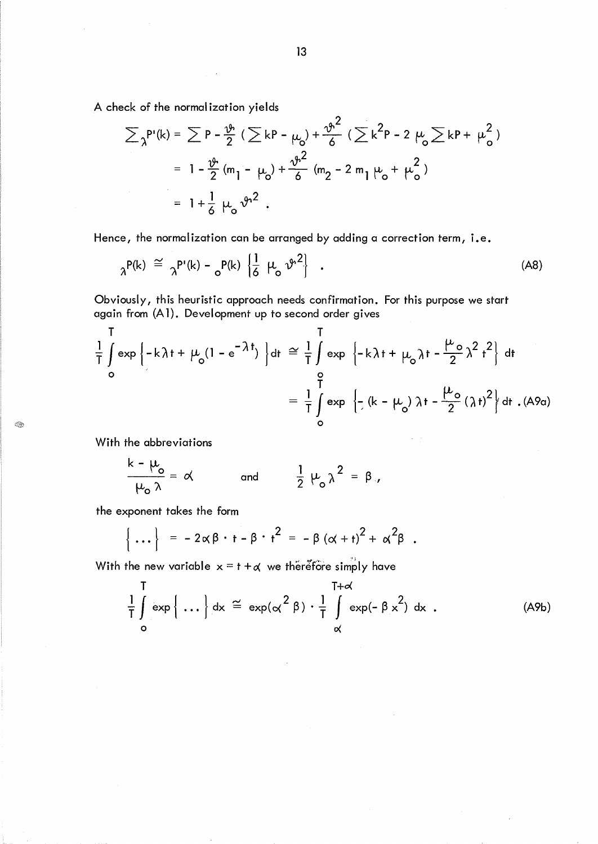A check of the normal ization yields

$$
\sum_{\lambda} P'(k) = \sum_{\lambda} P - \frac{\vartheta}{2} (\sum_{\lambda} k P - \mu_0) + \frac{\vartheta^2}{6} (\sum_{\lambda} k^2 P - 2 \mu_0 \sum_{\lambda} k P + \mu_0^2)
$$
  
=  $1 - \frac{\vartheta}{2} (m_1 - \mu_0) + \frac{\vartheta^2}{6} (m_2 - 2 m_1 \mu_0 + \mu_0^2)$   
=  $1 + \frac{1}{6} \mu_0 \vartheta^2$ .

Hence, the normalization can be arranged by adding a correction term, i.e.

$$
{}_{\lambda}P(k) \cong {}_{\lambda}P'(k) - {}_{o}P(k) \left\{ \frac{1}{6} \mu_{o} \nu^{2} \right\} . \tag{A8}
$$

Obviously, this heuristic approach needs confirmation. For this purpose we start again from (A 1). Development up to second order gives

$$
\frac{1}{T} \int_{0}^{T} \exp \left\{-k \lambda t + \mu_{0} (1 - e^{-\lambda t})\right\} dt \approx \frac{1}{T} \int_{0}^{T} \exp \left\{-k \lambda t + \mu_{0} \lambda t - \frac{\mu_{0}}{2} \lambda^{2} t^{2}\right\} dt
$$
\n
$$
= \frac{1}{T} \int_{0}^{T} \exp \left\{-\left(k - \mu_{0}\right) \lambda t - \frac{\mu_{0}}{2} (\lambda t)^{2}\right\} dt . \text{ (A9a)}
$$

With the abbreviations

Q)

$$
\frac{k - \mu_o}{\mu_o \lambda} = \alpha \quad \text{and} \quad \frac{1}{2} \mu_o \lambda^2 = \beta.
$$

the exponent takes the form

$$
\left\{\ldots\right\} = -2\alpha\beta \cdot t - \beta \cdot t^2 = -\beta\left(\alpha + t\right)^2 + \alpha^2\beta.
$$

With the new variable  $x = t + d$  we therefore simply have

$$
\frac{1}{T} \int_{0}^{T} \exp \left\{ \dots \right\} dx \stackrel{\sim}{=} \exp(\alpha^{2} \beta) \cdot \frac{1}{T} \int_{\alpha}^{T+\alpha} \exp(-\beta x^{2}) dx
$$
 (A9b)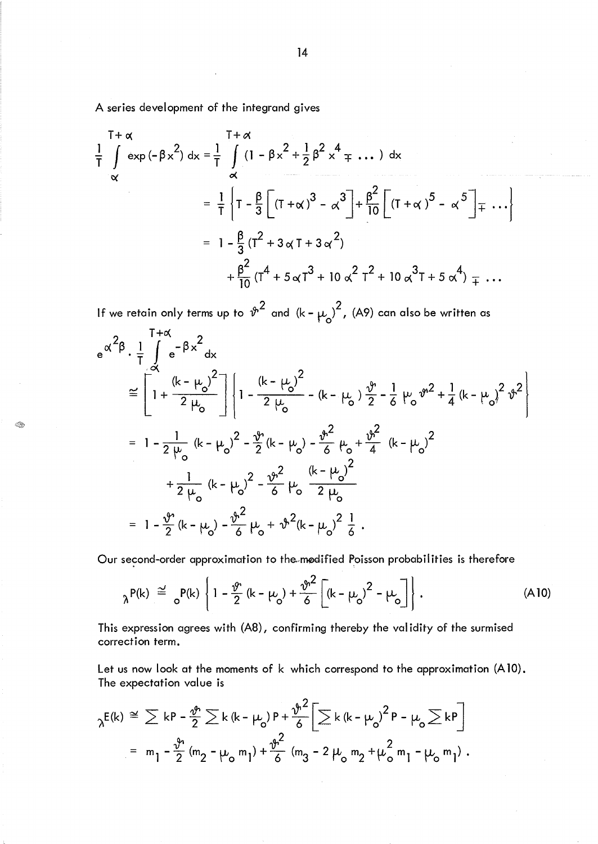A series development of the integrand gives

Q.

$$
\frac{T+\alpha}{T} \int_{\alpha}^{T+\alpha} \exp(-\beta x^2) dx = \frac{1}{T} \int_{\alpha}^{T+\alpha} (1 - \beta x^2 + \frac{1}{2} \beta^2 x^4 + \dots) dx
$$
  
\n
$$
= \frac{1}{T} \left\{ T - \frac{\beta}{3} \left[ (T+\alpha)^3 - \alpha^3 \right] + \frac{\beta^2}{10} \left[ (T+\alpha)^5 - \alpha^5 \right] + \dots \right\}
$$
  
\n
$$
= 1 - \frac{\beta}{3} (T^2 + 3 \alpha T + 3 \alpha^2)
$$
  
\n
$$
+ \frac{\beta^2}{10} (T^4 + 5 \alpha T^3 + 10 \alpha^2 T^2 + 10 \alpha^3 T + 5 \alpha^4) + \dots
$$

If we retain only terms up to  $\sqrt[n]{2}$  and  $(k - \mu_o)^2$ , (A9) can also be written as  $T + \alpha$ 

$$
e^{\alpha^2 \beta} \cdot \frac{1}{T} \int_{\alpha}^{T+\alpha} e^{-\beta x^2} dx
$$
  
\n
$$
\approx \left[ 1 + \frac{(k - \mu_0)^2}{2 \mu_0} \right] \left\{ 1 - \frac{(k - \mu_0)^2}{2 \mu_0} - (k - \mu_0) \frac{\vartheta}{2} - \frac{1}{6} \mu_0 \vartheta^{2} + \frac{1}{4} (k - \mu_0)^2 \vartheta^{2} \right\}
$$
  
\n
$$
= 1 - \frac{1}{2 \mu_0} (k - \mu_0)^2 - \frac{\vartheta}{2} (k - \mu_0) - \frac{\vartheta^2}{6} \mu_0 + \frac{\vartheta^2}{4} (k - \mu_0)^2
$$
  
\n
$$
+ \frac{1}{2 \mu_0} (k - \mu_0)^2 - \frac{\vartheta^2}{6} \mu_0 \frac{(k - \mu_0)^2}{2 \mu_0}
$$
  
\n
$$
= 1 - \frac{\vartheta}{2} (k - \mu_0) - \frac{\vartheta^2}{6} \mu_0 + \vartheta^2 (k - \mu_0)^2 \frac{1}{6}.
$$

Our second-order approximation to the modified Poisson probabilities is therefore

$$
{}_{\lambda}P(k) \stackrel{\simeq}{=} {}_{o}P(k) \left\{ 1 - \frac{\vartheta}{2} (k - \mu_{o}) + \frac{\vartheta^{2}}{6} \left[ (k - \mu_{o})^{2} - \mu_{o} \right] \right\}. \tag{A10}
$$

This expression agrees with (A8), confirming thereby the validity of the surmised correction term.

Let us now look at the moments of k which correspond to the approximation (A10). The expectation value is

$$
\gamma^{E(k)} \stackrel{\cong}{=} \sum kP - \frac{\vartheta^{2}}{2} \sum k (k - \mu_{0}) P + \frac{\vartheta^{2}}{6} \left[ \sum k (k - \mu_{0})^{2} P - \mu_{0} \sum k P \right]
$$
  
=  $m_{1} - \frac{\vartheta^{2}}{2} (m_{2} - \mu_{0} m_{1}) + \frac{\vartheta^{2}}{6} (m_{3} - 2 \mu_{0} m_{2} + \mu_{0}^{2} m_{1} - \mu_{0} m_{1}).$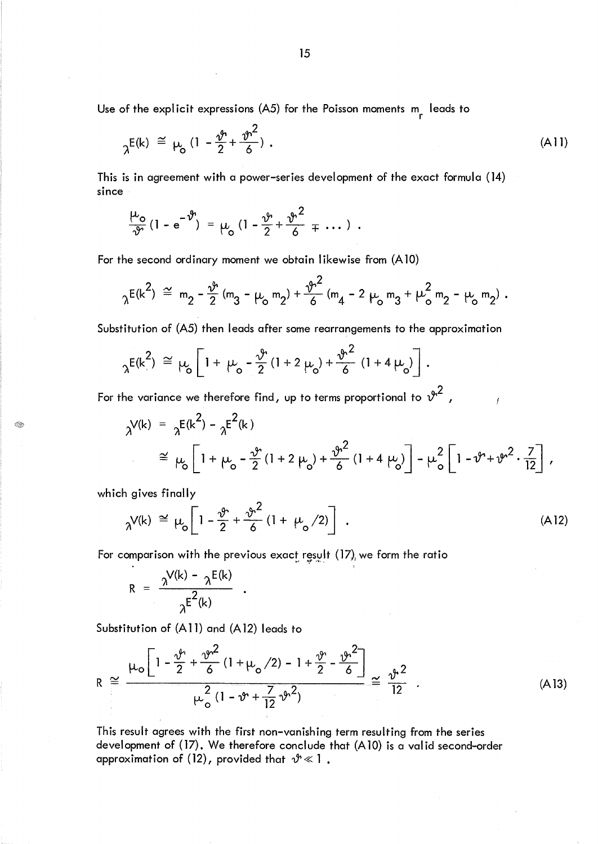Use of the explicit expressions  $(A5)$  for the Poisson moments  $\begin{bmatrix} n \\ r \end{bmatrix}$  leads to

$$
\gamma^{E(k)} \stackrel{\simeq}{=} \mu_0 \left( 1 - \frac{\vartheta^2}{2} + \frac{\vartheta^2}{6} \right) \,. \tag{A11}
$$

This is in agreement with a power-series development of the exact formula (14) since

$$
\frac{\mu_o}{\vartheta}(1-e^{-\vartheta}) = \mu_o (1-\frac{\vartheta}{2}+\frac{\vartheta^2}{6}+\cdots).
$$

For the second ordinary moment we obtain likewise from (A 10)

$$
{}_{\lambda}E(k^2) \stackrel{\sim}{=} m_2 - \frac{\vartheta}{2} (m_3 - \mu_0 m_2) + \frac{\vartheta^2}{6} (m_4 - 2 \mu_0 m_3 + \mu_0^2 m_2 - \mu_0 m_2).
$$

Substitution of (A5) then leads after some rearrangements to the approximation

$$
{}_{\lambda}E(k^{2}) \cong \mu_{0} \left[ 1 + \mu_{0} - \frac{\vartheta}{2} (1 + 2 \mu_{0}) + \frac{\vartheta^{2}}{6} (1 + 4 \mu_{0}) \right].
$$

For the variance we therefore find, up to terms proportional to  $\hat{v}^2$  ,

$$
\chi^{V(k)} = \chi^{E(k^2)} - \chi^{E^2(k)}
$$
\n
$$
\approx \mu_0 \left[ 1 + \mu_0 - \frac{\nu}{2} (1 + 2 \mu_0) + \frac{\nu^2}{6} (1 + 4 \mu_0) \right] - \mu_0^2 \left[ 1 - \nu^2 + \nu^2 \cdot \frac{7}{12} \right],
$$

which gives finally

Q.

$$
\gamma^{V(k)} \cong \mu_o \left[ 1 - \frac{\vartheta^2}{2} + \frac{\vartheta^2}{6} \left( 1 + \mu_o / 2 \right) \right] \ . \tag{A12}
$$

For comparison with the previous exact result (17), we form the ratio<br>...

$$
R = \frac{\lambda^{V(k)} - \lambda^{E(k)}}{\lambda^{E^{2}(k)}}.
$$

Substitution of (A11) and (A12) leads to

$$
R \cong \frac{\mu_{o} \left[ 1 - \frac{\vartheta^{2}}{2} + \frac{\vartheta^{2}}{6} (1 + \mu_{o} / 2) - 1 + \frac{\vartheta^{2}}{2} - \frac{\vartheta^{2}}{6} \right]}{\mu_{o}^{2} (1 - \vartheta^{2} + \frac{7}{12} \vartheta^{2})} \cong \frac{\vartheta^{2}}{12} \tag{A13}
$$

This result agrees with the first non-vanishing term resulting from the series development of (17). We therefore conclude that (A10) is a valid second-order approximation of (12), provided that  $\vartheta \ll 1$ .